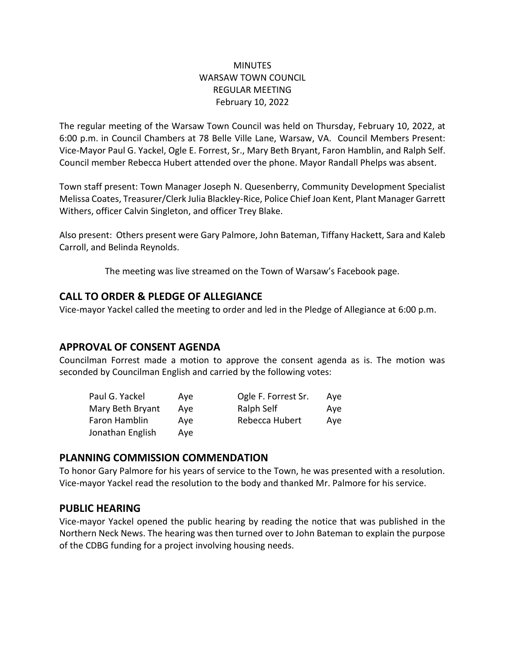### **MINUTES** WARSAW TOWN COUNCIL REGULAR MEETING February 10, 2022

The regular meeting of the Warsaw Town Council was held on Thursday, February 10, 2022, at 6:00 p.m. in Council Chambers at 78 Belle Ville Lane, Warsaw, VA. Council Members Present: Vice-Mayor Paul G. Yackel, Ogle E. Forrest, Sr., Mary Beth Bryant, Faron Hamblin, and Ralph Self. Council member Rebecca Hubert attended over the phone. Mayor Randall Phelps was absent.

Town staff present: Town Manager Joseph N. Quesenberry, Community Development Specialist Melissa Coates, Treasurer/Clerk Julia Blackley-Rice, Police Chief Joan Kent, Plant Manager Garrett Withers, officer Calvin Singleton, and officer Trey Blake.

Also present: Others present were Gary Palmore, John Bateman, Tiffany Hackett, Sara and Kaleb Carroll, and Belinda Reynolds.

The meeting was live streamed on the Town of Warsaw's Facebook page.

### **CALL TO ORDER & PLEDGE OF ALLEGIANCE**

Vice-mayor Yackel called the meeting to order and led in the Pledge of Allegiance at 6:00 p.m.

## **APPROVAL OF CONSENT AGENDA**

Councilman Forrest made a motion to approve the consent agenda as is. The motion was seconded by Councilman English and carried by the following votes:

| Paul G. Yackel   | Ave | Ogle F. Forrest Sr. | Ave |
|------------------|-----|---------------------|-----|
| Mary Beth Bryant | Ave | Ralph Self          | Ave |
| Faron Hamblin    | Ave | Rebecca Hubert      | Ave |
| Jonathan English | Ave |                     |     |

### **PLANNING COMMISSION COMMENDATION**

To honor Gary Palmore for his years of service to the Town, he was presented with a resolution. Vice-mayor Yackel read the resolution to the body and thanked Mr. Palmore for his service.

## **PUBLIC HEARING**

Vice-mayor Yackel opened the public hearing by reading the notice that was published in the Northern Neck News. The hearing was then turned over to John Bateman to explain the purpose of the CDBG funding for a project involving housing needs.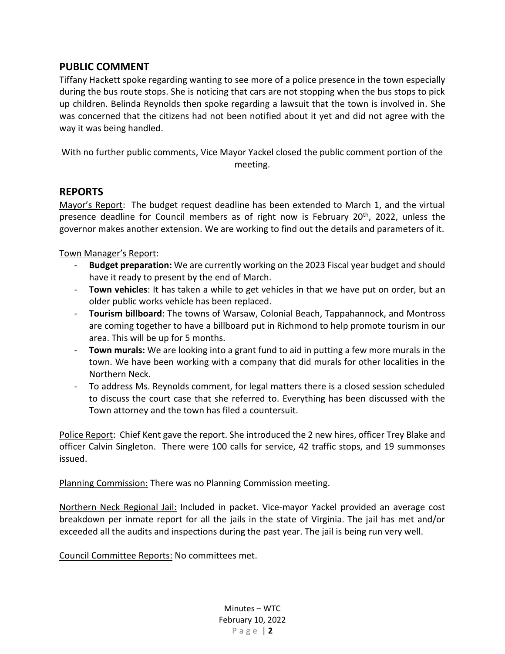## **PUBLIC COMMENT**

Tiffany Hackett spoke regarding wanting to see more of a police presence in the town especially during the bus route stops. She is noticing that cars are not stopping when the bus stops to pick up children. Belinda Reynolds then spoke regarding a lawsuit that the town is involved in. She was concerned that the citizens had not been notified about it yet and did not agree with the way it was being handled.

With no further public comments, Vice Mayor Yackel closed the public comment portion of the meeting.

#### **REPORTS**

Mayor's Report: The budget request deadline has been extended to March 1, and the virtual presence deadline for Council members as of right now is February 20<sup>th</sup>, 2022, unless the governor makes another extension. We are working to find out the details and parameters of it.

Town Manager's Report:

- **Budget preparation:** We are currently working on the 2023 Fiscal year budget and should have it ready to present by the end of March.
- **Town vehicles**: It has taken a while to get vehicles in that we have put on order, but an older public works vehicle has been replaced.
- **Tourism billboard**: The towns of Warsaw, Colonial Beach, Tappahannock, and Montross are coming together to have a billboard put in Richmond to help promote tourism in our area. This will be up for 5 months.
- **Town murals:** We are looking into a grant fund to aid in putting a few more murals in the town. We have been working with a company that did murals for other localities in the Northern Neck.
- To address Ms. Reynolds comment, for legal matters there is a closed session scheduled to discuss the court case that she referred to. Everything has been discussed with the Town attorney and the town has filed a countersuit.

Police Report: Chief Kent gave the report. She introduced the 2 new hires, officer Trey Blake and officer Calvin Singleton. There were 100 calls for service, 42 traffic stops, and 19 summonses issued.

Planning Commission: There was no Planning Commission meeting.

Northern Neck Regional Jail: Included in packet. Vice-mayor Yackel provided an average cost breakdown per inmate report for all the jails in the state of Virginia. The jail has met and/or exceeded all the audits and inspections during the past year. The jail is being run very well.

Council Committee Reports: No committees met.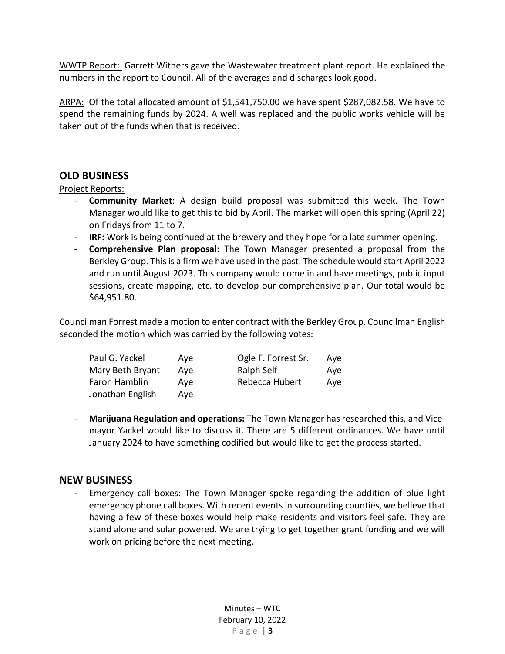WWTP Report: Garrett Withers gave the Wastewater treatment plant report. He explained the numbers in the report to Council. All of the averages and discharges look good.

ARPA: Of the total allocated amount of \$1,541,750.00 we have spent \$287,082.58. We have to spend the remaining funds by 2024. A well was replaced and the public works vehicle will be taken out of the funds when that is received.

## **OLD BUSINESS**

### Project Reports:

- **Community Market**: A design build proposal was submitted this week. The Town Manager would like to get this to bid by April. The market will open this spring (April 22) on Fridays from 11 to 7.
- **IRF:** Work is being continued at the brewery and they hope for a late summer opening.
- **Comprehensive Plan proposal:** The Town Manager presented a proposal from the Berkley Group. This is a firm we have used in the past. The schedule would start April 2022 and run until August 2023. This company would come in and have meetings, public input sessions, create mapping, etc. to develop our comprehensive plan. Our total would be \$64,951.80.

Councilman Forrest made a motion to enter contract with the Berkley Group. Councilman English seconded the motion which was carried by the following votes:

| Paul G. Yackel   | Ave | Ogle F. Forrest Sr. | Ave |
|------------------|-----|---------------------|-----|
| Mary Beth Bryant | Ave | Ralph Self          | Ave |
| Faron Hamblin    | Ave | Rebecca Hubert      | Ave |
| Jonathan English | Ave |                     |     |

- **Marijuana Regulation and operations:** The Town Manager has researched this, and Vicemayor Yackel would like to discuss it. There are 5 different ordinances. We have until January 2024 to have something codified but would like to get the process started.

## **NEW BUSINESS**

- Emergency call boxes: The Town Manager spoke regarding the addition of blue light emergency phone call boxes. With recent events in surrounding counties, we believe that having a few of these boxes would help make residents and visitors feel safe. They are stand alone and solar powered. We are trying to get together grant funding and we will work on pricing before the next meeting.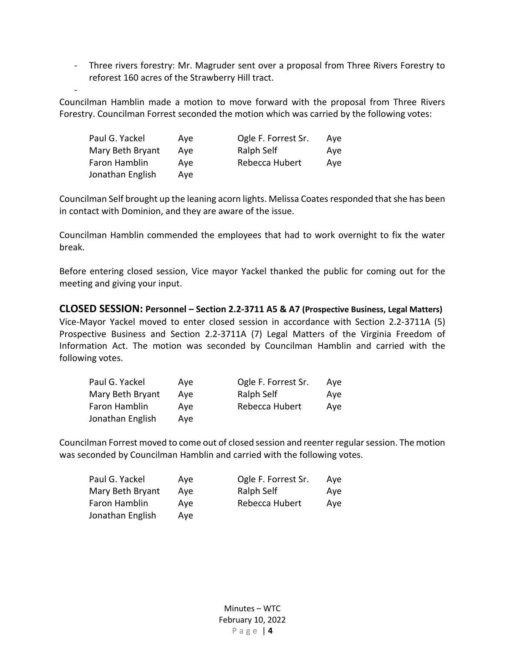- Three rivers forestry: Mr. Magruder sent over a proposal from Three Rivers Forestry to reforest 160 acres of the Strawberry Hill tract.

Councilman Hamblin made a motion to move forward with the proposal from Three Rivers Forestry. Councilman Forrest seconded the motion which was carried by the following votes:

| Paul G. Yackel   | Ave | Ogle F. Forrest Sr. | Ave |
|------------------|-----|---------------------|-----|
| Mary Beth Bryant | Ave | Ralph Self          | Ave |
| Faron Hamblin    | Ave | Rebecca Hubert      | Ave |
| Jonathan English | Ave |                     |     |

-

Councilman Self brought up the leaning acorn lights. Melissa Coates responded that she has been in contact with Dominion, and they are aware of the issue.

Councilman Hamblin commended the employees that had to work overnight to fix the water break.

Before entering closed session, Vice mayor Yackel thanked the public for coming out for the meeting and giving your input.

**CLOSED SESSION: Personnel – Section 2.2-3711 A5 & A7 (Prospective Business, Legal Matters)** Vice-Mayor Yackel moved to enter closed session in accordance with Section 2.2-3711A (5) Prospective Business and Section 2.2-3711A (7) Legal Matters of the Virginia Freedom of Information Act. The motion was seconded by Councilman Hamblin and carried with the following votes.

| Paul G. Yackel   | Ave | Ogle F. Forrest Sr. | Ave |
|------------------|-----|---------------------|-----|
| Mary Beth Bryant | Ave | Ralph Self          | Ave |
| Faron Hamblin    | Ave | Rebecca Hubert      | Ave |
| Jonathan English | Ave |                     |     |

Councilman Forrest moved to come out of closed session and reenter regular session. The motion was seconded by Councilman Hamblin and carried with the following votes.

| Paul G. Yackel   | Ave | Ogle F. Forrest Sr. | Ave |
|------------------|-----|---------------------|-----|
| Mary Beth Bryant | Ave | Ralph Self          | Ave |
| Faron Hamblin    | Ave | Rebecca Hubert      | Ave |
| Jonathan English | Ave |                     |     |